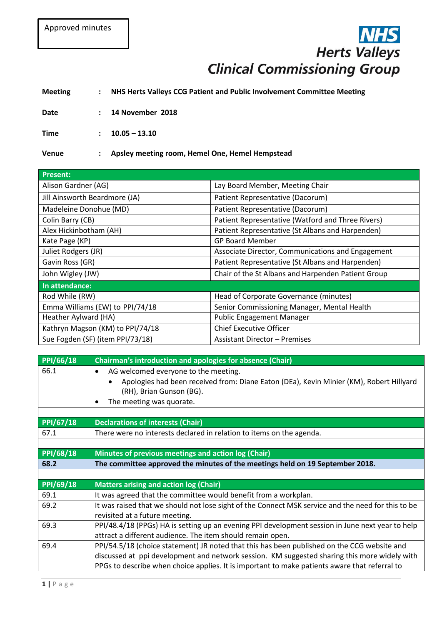## **Herts Valleys Clinical Commissioning Group**

## **Meeting : NHS Herts Valleys CCG Patient and Public Involvement Committee Meeting**

**Date : 14 November 2018**

**Time**  $: 10.05 - 13.10$ 

**Venue : Apsley meeting room, Hemel One, Hemel Hempstead**

| <b>Present:</b>                  |                                                    |
|----------------------------------|----------------------------------------------------|
| Alison Gardner (AG)              | Lay Board Member, Meeting Chair                    |
| Jill Ainsworth Beardmore (JA)    | Patient Representative (Dacorum)                   |
| Madeleine Donohue (MD)           | Patient Representative (Dacorum)                   |
| Colin Barry (CB)                 | Patient Representative (Watford and Three Rivers)  |
| Alex Hickinbotham (AH)           | Patient Representative (St Albans and Harpenden)   |
| Kate Page (KP)                   | <b>GP Board Member</b>                             |
| Juliet Rodgers (JR)              | Associate Director, Communications and Engagement  |
| Gavin Ross (GR)                  | Patient Representative (St Albans and Harpenden)   |
| John Wigley (JW)                 | Chair of the St Albans and Harpenden Patient Group |
| In attendance:                   |                                                    |
| Rod While (RW)                   | Head of Corporate Governance (minutes)             |
| Emma Williams (EW) to PPI/74/18  | Senior Commissioning Manager, Mental Health        |
| Heather Aylward (HA)             | <b>Public Engagement Manager</b>                   |
| Kathryn Magson (KM) to PPI/74/18 | <b>Chief Executive Officer</b>                     |
| Sue Fogden (SF) (item PPI/73/18) | <b>Assistant Director - Premises</b>               |

| PPI/66/18 | Chairman's introduction and apologies for absence (Chair)                                          |
|-----------|----------------------------------------------------------------------------------------------------|
| 66.1      | AG welcomed everyone to the meeting.<br>$\bullet$                                                  |
|           | Apologies had been received from: Diane Eaton (DEa), Kevin Minier (KM), Robert Hillyard            |
|           | (RH), Brian Gunson (BG).                                                                           |
|           | The meeting was quorate.                                                                           |
|           |                                                                                                    |
| PPI/67/18 | <b>Declarations of interests (Chair)</b>                                                           |
| 67.1      | There were no interests declared in relation to items on the agenda.                               |
|           |                                                                                                    |
| PPI/68/18 | Minutes of previous meetings and action log (Chair)                                                |
| 68.2      | The committee approved the minutes of the meetings held on 19 September 2018.                      |
|           |                                                                                                    |
| PPI/69/18 | <b>Matters arising and action log (Chair)</b>                                                      |
| 69.1      | It was agreed that the committee would benefit from a workplan.                                    |
| 69.2      | It was raised that we should not lose sight of the Connect MSK service and the need for this to be |
|           | revisited at a future meeting.                                                                     |
| 69.3      | PPI/48.4/18 (PPGs) HA is setting up an evening PPI development session in June next year to help   |
|           | attract a different audience. The item should remain open.                                         |
| 69.4      | PPI/54.5/18 (choice statement) JR noted that this has been published on the CCG website and        |
|           | discussed at ppi development and network session. KM suggested sharing this more widely with       |
|           | PPGs to describe when choice applies. It is important to make patients aware that referral to      |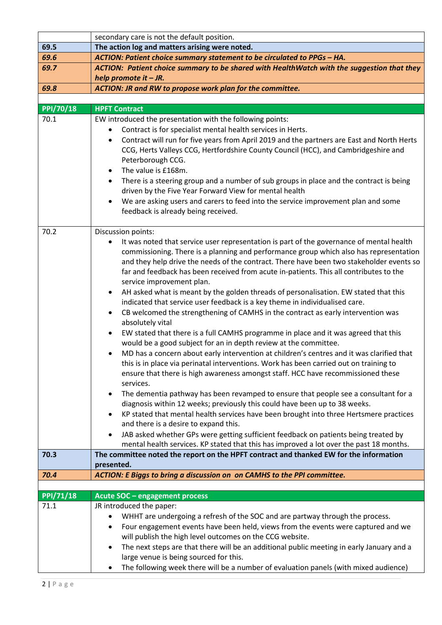|                          | secondary care is not the default position.                                                                                                                          |
|--------------------------|----------------------------------------------------------------------------------------------------------------------------------------------------------------------|
| 69.5                     | The action log and matters arising were noted.                                                                                                                       |
| 69.6                     | ACTION: Patient choice summary statement to be circulated to PPGs - HA.                                                                                              |
| 69.7                     | ACTION: Patient choice summary to be shared with HealthWatch with the suggestion that they                                                                           |
|                          | help promote it $-JR$ .                                                                                                                                              |
| 69.8                     | ACTION: JR and RW to propose work plan for the committee.                                                                                                            |
|                          |                                                                                                                                                                      |
| <b>PPI/70/18</b>         | <b>HPFT Contract</b>                                                                                                                                                 |
| 70.1                     | EW introduced the presentation with the following points:                                                                                                            |
|                          | Contract is for specialist mental health services in Herts.                                                                                                          |
|                          | Contract will run for five years from April 2019 and the partners are East and North Herts<br>٠                                                                      |
|                          | CCG, Herts Valleys CCG, Hertfordshire County Council (HCC), and Cambridgeshire and                                                                                   |
|                          | Peterborough CCG.<br>The value is £168m.                                                                                                                             |
|                          | $\bullet$<br>$\bullet$                                                                                                                                               |
|                          | There is a steering group and a number of sub groups in place and the contract is being<br>driven by the Five Year Forward View for mental health                    |
|                          | We are asking users and carers to feed into the service improvement plan and some<br>$\bullet$                                                                       |
|                          | feedback is already being received.                                                                                                                                  |
|                          |                                                                                                                                                                      |
| 70.2                     | Discussion points:                                                                                                                                                   |
|                          | It was noted that service user representation is part of the governance of mental health                                                                             |
|                          | commissioning. There is a planning and performance group which also has representation                                                                               |
|                          | and they help drive the needs of the contract. There have been two stakeholder events so                                                                             |
|                          | far and feedback has been received from acute in-patients. This all contributes to the                                                                               |
|                          | service improvement plan.                                                                                                                                            |
|                          | AH asked what is meant by the golden threads of personalisation. EW stated that this<br>$\bullet$                                                                    |
|                          | indicated that service user feedback is a key theme in individualised care.                                                                                          |
|                          | CB welcomed the strengthening of CAMHS in the contract as early intervention was<br>٠                                                                                |
|                          | absolutely vital                                                                                                                                                     |
|                          | EW stated that there is a full CAMHS programme in place and it was agreed that this<br>$\bullet$<br>would be a good subject for an in depth review at the committee. |
|                          | MD has a concern about early intervention at children's centres and it was clarified that                                                                            |
|                          | this is in place via perinatal interventions. Work has been carried out on training to                                                                               |
|                          | ensure that there is high awareness amongst staff. HCC have recommissioned these                                                                                     |
|                          | services.                                                                                                                                                            |
|                          | The dementia pathway has been revamped to ensure that people see a consultant for a<br>٠                                                                             |
|                          | diagnosis within 12 weeks; previously this could have been up to 38 weeks.                                                                                           |
|                          | KP stated that mental health services have been brought into three Hertsmere practices<br>$\bullet$                                                                  |
|                          | and there is a desire to expand this.                                                                                                                                |
|                          | JAB asked whether GPs were getting sufficient feedback on patients being treated by<br>$\bullet$                                                                     |
|                          | mental health services. KP stated that this has improved a lot over the past 18 months.                                                                              |
| 70.3                     | The committee noted the report on the HPFT contract and thanked EW for the information                                                                               |
|                          | presented.                                                                                                                                                           |
| 70.4                     | ACTION: E Biggs to bring a discussion on on CAMHS to the PPI committee.                                                                                              |
|                          |                                                                                                                                                                      |
| <b>PPI/71/18</b><br>71.1 | Acute SOC - engagement process<br>JR introduced the paper:                                                                                                           |
|                          | WHHT are undergoing a refresh of the SOC and are partway through the process.                                                                                        |
|                          | Four engagement events have been held, views from the events were captured and we<br>٠                                                                               |
|                          | will publish the high level outcomes on the CCG website.                                                                                                             |
|                          | The next steps are that there will be an additional public meeting in early January and a<br>$\bullet$                                                               |
|                          | large venue is being sourced for this.                                                                                                                               |
|                          | The following week there will be a number of evaluation panels (with mixed audience)                                                                                 |
|                          |                                                                                                                                                                      |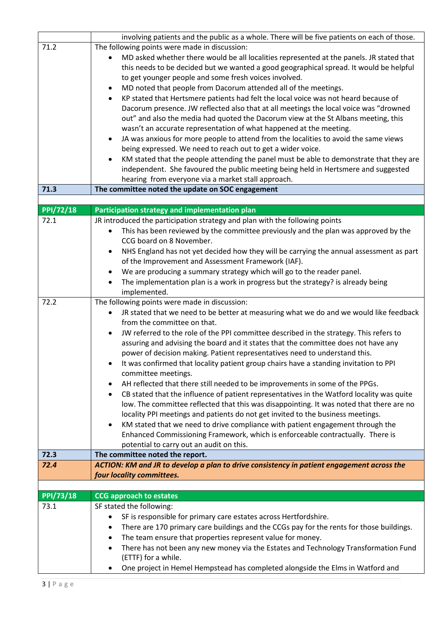|                  | involving patients and the public as a whole. There will be five patients on each of those.                                                                                  |
|------------------|------------------------------------------------------------------------------------------------------------------------------------------------------------------------------|
| 71.2             | The following points were made in discussion:                                                                                                                                |
|                  | MD asked whether there would be all localities represented at the panels. JR stated that                                                                                     |
|                  | this needs to be decided but we wanted a good geographical spread. It would be helpful                                                                                       |
|                  | to get younger people and some fresh voices involved.                                                                                                                        |
|                  | MD noted that people from Dacorum attended all of the meetings.                                                                                                              |
|                  | KP stated that Hertsmere patients had felt the local voice was not heard because of<br>$\bullet$                                                                             |
|                  | Dacorum presence. JW reflected also that at all meetings the local voice was "drowned                                                                                        |
|                  | out" and also the media had quoted the Dacorum view at the St Albans meeting, this                                                                                           |
|                  | wasn't an accurate representation of what happened at the meeting.                                                                                                           |
|                  | JA was anxious for more people to attend from the localities to avoid the same views<br>$\bullet$                                                                            |
|                  | being expressed. We need to reach out to get a wider voice.                                                                                                                  |
|                  | KM stated that the people attending the panel must be able to demonstrate that they are                                                                                      |
|                  | independent. She favoured the public meeting being held in Hertsmere and suggested                                                                                           |
|                  | hearing from everyone via a market stall approach.                                                                                                                           |
| 71.3             | The committee noted the update on SOC engagement                                                                                                                             |
|                  |                                                                                                                                                                              |
| <b>PPI/72/18</b> | Participation strategy and implementation plan                                                                                                                               |
| 72.1             | JR introduced the participation strategy and plan with the following points                                                                                                  |
|                  | This has been reviewed by the committee previously and the plan was approved by the                                                                                          |
|                  | CCG board on 8 November.                                                                                                                                                     |
|                  | NHS England has not yet decided how they will be carrying the annual assessment as part<br>$\bullet$                                                                         |
|                  | of the Improvement and Assessment Framework (IAF).                                                                                                                           |
|                  | We are producing a summary strategy which will go to the reader panel.<br>$\bullet$                                                                                          |
|                  | The implementation plan is a work in progress but the strategy? is already being                                                                                             |
|                  | implemented.                                                                                                                                                                 |
| 72.2             | The following points were made in discussion:                                                                                                                                |
|                  | JR stated that we need to be better at measuring what we do and we would like feedback<br>from the committee on that.                                                        |
|                  |                                                                                                                                                                              |
|                  | JW referred to the role of the PPI committee described in the strategy. This refers to<br>assuring and advising the board and it states that the committee does not have any |
|                  | power of decision making. Patient representatives need to understand this.                                                                                                   |
|                  | It was confirmed that locality patient group chairs have a standing invitation to PPI                                                                                        |
|                  | committee meetings.                                                                                                                                                          |
|                  | AH reflected that there still needed to be improvements in some of the PPGs.                                                                                                 |
|                  | CB stated that the influence of patient representatives in the Watford locality was quite<br>$\bullet$                                                                       |
|                  | low. The committee reflected that this was disappointing. It was noted that there are no                                                                                     |
|                  | locality PPI meetings and patients do not get invited to the business meetings.                                                                                              |
|                  | KM stated that we need to drive compliance with patient engagement through the<br>$\bullet$                                                                                  |
|                  | Enhanced Commissioning Framework, which is enforceable contractually. There is                                                                                               |
|                  | potential to carry out an audit on this.                                                                                                                                     |
| 72.3             | The committee noted the report.                                                                                                                                              |
| 72.4             | ACTION: KM and JR to develop a plan to drive consistency in patient engagement across the                                                                                    |
|                  | four locality committees.                                                                                                                                                    |
|                  |                                                                                                                                                                              |
| <b>PPI/73/18</b> | <b>CCG approach to estates</b>                                                                                                                                               |
| 73.1             | SF stated the following:                                                                                                                                                     |
|                  | SF is responsible for primary care estates across Hertfordshire.                                                                                                             |
|                  | There are 170 primary care buildings and the CCGs pay for the rents for those buildings.<br>٠                                                                                |
|                  | The team ensure that properties represent value for money.<br>$\bullet$                                                                                                      |
|                  | There has not been any new money via the Estates and Technology Transformation Fund                                                                                          |
|                  | (ETTF) for a while.                                                                                                                                                          |
|                  | One project in Hemel Hempstead has completed alongside the Elms in Watford and                                                                                               |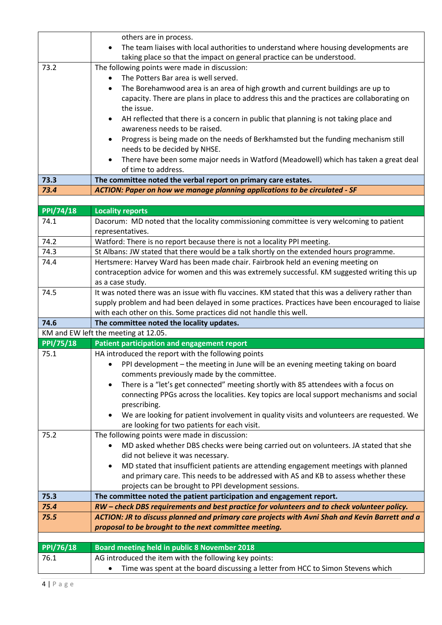|                     | others are in process.                                                                                                                   |
|---------------------|------------------------------------------------------------------------------------------------------------------------------------------|
|                     | The team liaises with local authorities to understand where housing developments are<br>$\bullet$                                        |
|                     | taking place so that the impact on general practice can be understood.                                                                   |
| 73.2                | The following points were made in discussion:                                                                                            |
|                     | The Potters Bar area is well served.                                                                                                     |
|                     | The Borehamwood area is an area of high growth and current buildings are up to<br>$\bullet$                                              |
|                     | capacity. There are plans in place to address this and the practices are collaborating on                                                |
|                     | the issue.                                                                                                                               |
|                     | AH reflected that there is a concern in public that planning is not taking place and<br>$\bullet$                                        |
|                     | awareness needs to be raised.                                                                                                            |
|                     | Progress is being made on the needs of Berkhamsted but the funding mechanism still                                                       |
|                     | needs to be decided by NHSE.                                                                                                             |
|                     | There have been some major needs in Watford (Meadowell) which has taken a great deal                                                     |
|                     | of time to address.                                                                                                                      |
| 73.3                | The committee noted the verbal report on primary care estates.                                                                           |
| 73.4                | ACTION: Paper on how we manage planning applications to be circulated - SF                                                               |
|                     |                                                                                                                                          |
| <b>PPI/74/18</b>    | <b>Locality reports</b>                                                                                                                  |
| 74.1                | Dacorum: MD noted that the locality commissioning committee is very welcoming to patient                                                 |
|                     | representatives.                                                                                                                         |
| 74.2                | Watford: There is no report because there is not a locality PPI meeting.                                                                 |
| 74.3                | St Albans: JW stated that there would be a talk shortly on the extended hours programme.                                                 |
| 74.4                | Hertsmere: Harvey Ward has been made chair. Fairbrook held an evening meeting on                                                         |
|                     | contraception advice for women and this was extremely successful. KM suggested writing this up                                           |
| 74.5                | as a case study.<br>It was noted there was an issue with flu vaccines. KM stated that this was a delivery rather than                    |
|                     | supply problem and had been delayed in some practices. Practices have been encouraged to liaise                                          |
|                     | with each other on this. Some practices did not handle this well.                                                                        |
| 74.6                | The committee noted the locality updates.                                                                                                |
|                     | KM and EW left the meeting at 12.05.                                                                                                     |
| <b>PPI/75/18</b>    | Patient participation and engagement report                                                                                              |
| 75.1                | HA introduced the report with the following points                                                                                       |
|                     | PPI development - the meeting in June will be an evening meeting taking on board                                                         |
|                     | comments previously made by the committee.                                                                                               |
|                     | There is a "let's get connected" meeting shortly with 85 attendees with a focus on<br>$\bullet$                                          |
|                     | connecting PPGs across the localities. Key topics are local support mechanisms and social                                                |
|                     | prescribing.                                                                                                                             |
|                     | We are looking for patient involvement in quality visits and volunteers are requested. We                                                |
|                     | are looking for two patients for each visit.                                                                                             |
| 75.2                | The following points were made in discussion:                                                                                            |
|                     | MD asked whether DBS checks were being carried out on volunteers. JA stated that she                                                     |
|                     | did not believe it was necessary.                                                                                                        |
|                     | MD stated that insufficient patients are attending engagement meetings with planned<br>$\bullet$                                         |
|                     | and primary care. This needs to be addressed with AS and KB to assess whether these                                                      |
|                     | projects can be brought to PPI development sessions.                                                                                     |
| 75.3                | The committee noted the patient participation and engagement report.                                                                     |
| 75.4                | RW - check DBS requirements and best practice for volunteers and to check volunteer policy.                                              |
| 75.5                | ACTION: JR to discuss planned and primary care projects with Avni Shah and Kevin Barrett and a                                           |
|                     | proposal to be brought to the next committee meeting.                                                                                    |
| $\frac{PPI}{76/18}$ |                                                                                                                                          |
| 76.1                | <b>Board meeting held in public 8 November 2018</b>                                                                                      |
|                     | AG introduced the item with the following key points:<br>Time was spent at the board discussing a letter from HCC to Simon Stevens which |
|                     |                                                                                                                                          |